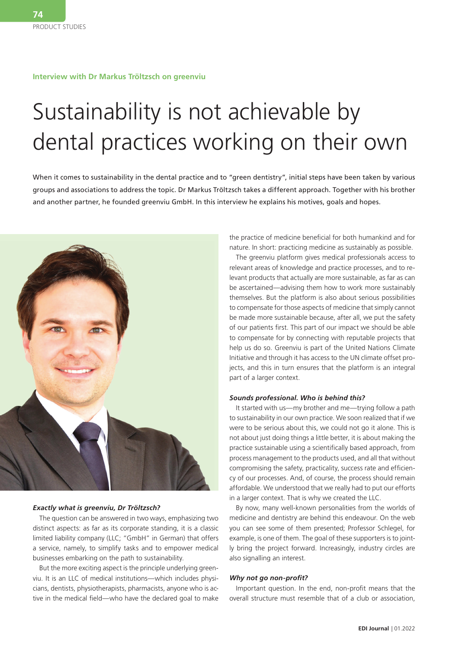## **Interview with Dr Markus Tröltzsch on greenviu**

# Sustainability is not achievable by dental practices working on their own

When it comes to sustainability in the dental practice and to "green dentistry", initial steps have been taken by various groups and associations to address the topic. Dr Markus Tröltzsch takes a different approach. Together with his brother and another partner, he founded greenviu GmbH. In this interview he explains his motives, goals and hopes.



## *Exactly what is greenviu, Dr Tröltzsch?*

The question can be answered in two ways, emphasizing two distinct aspects: as far as its corporate standing, it is a classic limited liability company (LLC; "GmbH" in German) that offers a service, namely, to simplify tasks and to empower medical businesses embarking on the path to sustainability.

But the more exciting aspect is the principle underlying greenviu. It is an LLC of medical institutions—which includes physicians, dentists, physiotherapists, pharmacists, anyone who is active in the medical field—who have the declared goal to make the practice of medicine beneficial for both humankind and for nature. In short: practicing medicine as sustainably as possible.

The greenviu platform gives medical professionals access to relevant areas of knowledge and practice processes, and to relevant products that actually are more sustainable, as far as can be ascertained—advising them how to work more sustainably themselves. But the platform is also about serious possibilities to compensate for those aspects of medicine that simply cannot be made more sustainable because, after all, we put the safety of our patients first. This part of our impact we should be able to compensate for by connecting with reputable projects that help us do so. Greenviu is part of the United Nations Climate Initiative and through it has access to the UN climate offset projects, and this in turn ensures that the platform is an integral part of a larger context.

## *Sounds professional. Who is behind this?*

It started with us—my brother and me—trying follow a path to sustainability in our own practice. We soon realized that if we were to be serious about this, we could not go it alone. This is not about just doing things a little better, it is about making the practice sustainable using a scientifically based approach, from process management to the products used, and all that without compromising the safety, practicality, success rate and efficiency of our processes. And, of course, the process should remain affordable. We understood that we really had to put our efforts in a larger context. That is why we created the LLC.

By now, many well-known personalities from the worlds of medicine and dentistry are behind this endeavour. On the web you can see some of them presented; Professor Schlegel, for example, is one of them. The goal of these supporters is to jointly bring the project forward. Increasingly, industry circles are also signalling an interest.

## *Why not go non-profit?*

Important question. In the end, non-profit means that the overall structure must resemble that of a club or association,